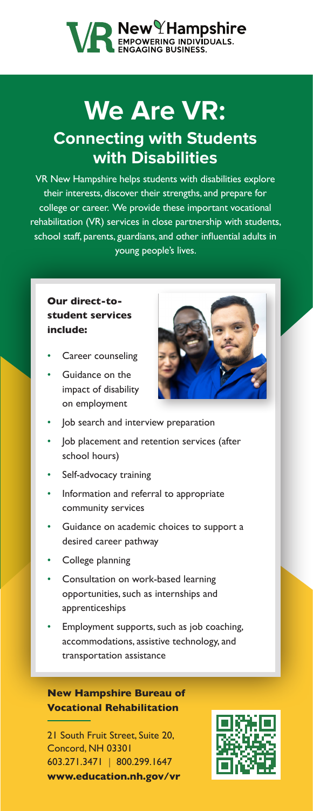# **VA New Hampshire**<br> **MENEAGE AND SUSINESS.**

### **We Are VR: Connecting with Students with Disabilities**

VR New Hampshire helps students with disabilities explore their interests, discover their strengths, and prepare for college or career. We provide these important vocational rehabilitation (VR) services in close partnership with students, school staff, parents, guardians, and other influential adults in young people's lives.

#### **Our direct-tostudent services include:**

- Career counseling
- Guidance on the impact of disability on employment



- Job search and interview preparation
- Job placement and retention services (after school hours)
- Self-advocacy training
- Information and referral to appropriate community services
- Guidance on academic choices to support a desired career pathway
- College planning
- Consultation on work-based learning opportunities, such as internships and apprenticeships
- Employment supports, such as job coaching, accommodations, assistive technology, and transportation assistance

**New Hampshire Bureau of Vocational Rehabilitation**

21 South Fruit Street, Suite 20, Concord, NH 03301 603.271.3471 | 800.299.1647 **[www.education.nh.gov/vr](http://www.education.nh.gov/vr)**